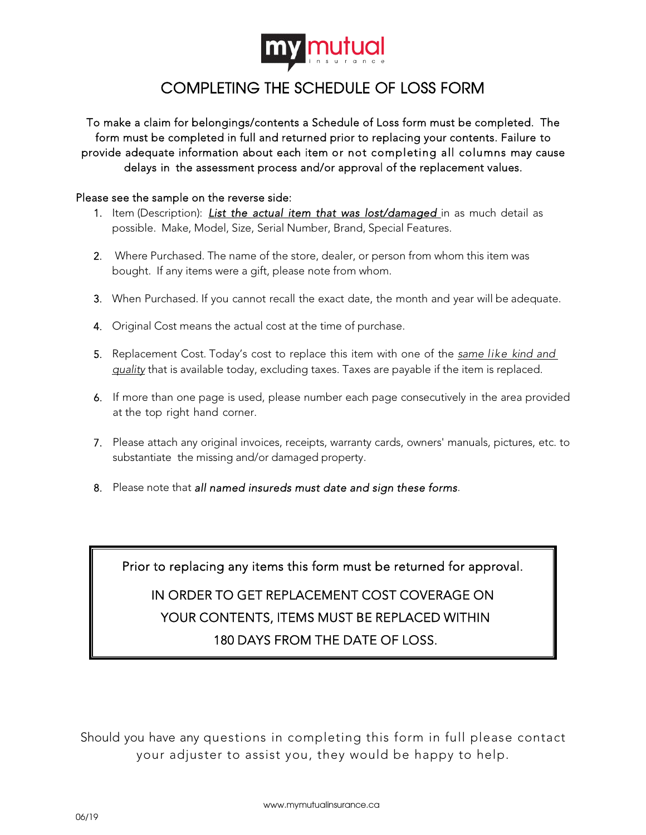

## COMPLETING THE SCHEDULE OF LOSS FORM

To make a claim for belongings/contents a Schedule of Loss form must be completed. The form must be completed in full and returned prior to replacing your contents. Failure to provide adequate information about each item or not completing all columns may cause delays in the assessment process and/or approval of the replacement values.

## Please see the sample on the reverse side:

- 1. Item (Description): *List the actual item that was lost/damaged* in as much detail as possible. Make, Model, Size, Serial Number, Brand, Special Features.
- 2. Where Purchased. The name of the store, dealer, or person from whom this item was bought. If any items were a gift, please note from whom.
- 3. When Purchased. If you cannot recall the exact date, the month and year will be adequate.
- 4. Original Cost means the actual cost at the time of purchase.
- 5. Replacement Cost. Today's cost to replace this item with one of the *same like kind and quality* that is available today, excluding taxes. Taxes are payable if the item is replaced.
- 6. If more than one page is used, please number each page consecutively in the area provided at the top right hand corner.
- 7. Please attach any original invoices, receipts, warranty cards, owners' manuals, pictures, etc. to substantiate the missing and/or damaged property.
- 8. Please note that *all named insureds must date and sign these forms*.

Prior to replacing any items this form must be returned for approval.

IN ORDER TO GET REPLACEMENT COST COVERAGE ON YOUR CONTENTS, ITEMS MUST BE REPLACED WITHIN 180 DAYS FROM THE DATE OF LOSS.

Should you have any questions in completing this form in full please contact your adjuster to assist you, they would be happy to help.